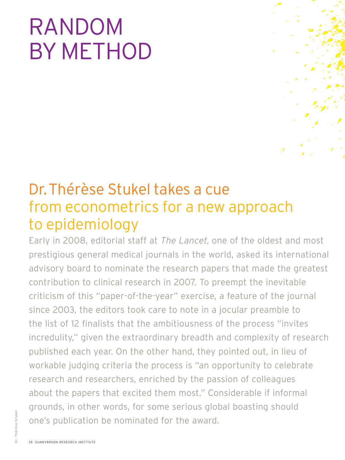## RANDOM BY METHOD

## Dr.Thérèse Stukel takes a cue from econometrics for a new approach to epidemiology

Early in 2008, editorial staff at The Lancet, one of the oldest and most prestigious general medical journals in the world, asked its international advisory board to nominate the research papers that made the greatest contribution to clinical research in 2007. To preempt the inevitable criticism of this "paper-of-the-year" exercise, a feature of the journal since 2003, the editors took care to note in a jocular preamble to the list of 12 finalists that the ambitiousness of the process "invites incredulity," given the extraordinary breadth and complexity of research published each year. On the other hand, they pointed out, in lieu of workable judging criteria the process is "an opportunity to celebrate research and researchers, enriched by the passion of colleagues about the papers that excited them most." Considerable if informal grounds, in other words, for some serious global boasting should one's publication be nominated for the award.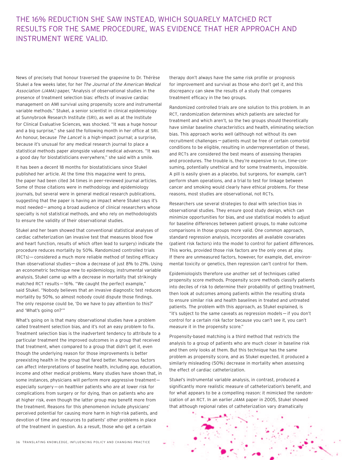## THE 16% REDUCTION SHE SAW INSTEAD, WHICH SQUARELY MATCHED RCT RESULTS FOR THE SAME PROCEDURE, WAS EVIDENCE THAT HER APPROACH AND INSTRUMENT WERE VALID.

News of precisely that honour traversed the grapevine to Dr. Thérèse Stukel a few weeks later, for her The Journal of the American Medical Association (JAMA) paper, "Analysis of observational studies in the presence of treatment selection bias: effects of invasive cardiac management on AMI survival using propensity score and instrumental variable methods." Stukel, a senior scientist in clinical epidemiology at Sunnybrook Research Institute (SRI), as well as at the Institute for Clinical Evaluative Sciences, was shocked. "It was a huge honour and a big surprise," she said the following month in her office at SRI. An honour, because The Lancet is a high-impact journal; a surprise, because it's unusual for any medical research journal to place a statistical methods paper alongside valued medical advances. "It was a good day for biostatisticians everywhere," she said with a smile.

It has been a decent 18 months for biostatisticians since Stukel published her article. At the time this magazine went to press, the paper had been cited 34 times in peer-reviewed journal articles. Some of those citations were in methodology and epidemiology journals, but several were in general medical research publications, suggesting that the paper is having an impact where Stukel says it's most needed—among a broad audience of clinical researchers whose specialty is not statistical methods, and who rely on methodologists to ensure the validity of their observational studies.

Stukel and her team showed that conventional statistical analyses of cardiac catheterization (an invasive test that measures blood flow and heart function, results of which often lead to surgery) indicate the procedure reduces mortality by 50%. Randomized controlled trials (RCTs)—considered a much more reliable method of testing efficacy than observational studies—show a decrease of just 8% to 21%. Using an econometric technique new to epidemiology, instrumental variable analysis, Stukel came up with a decrease in mortality that strikingly matched RCT results—16%. "We caught the perfect example," said Stukel. "Nobody believes that an invasive diagnostic test reduces mortality by 50%, so almost nobody could dispute those findings. The only response could be, 'Do we have to pay attention to this?' and 'What's going on?'"

What's going on is that many observational studies have a problem called treatment selection bias, and it's not an easy problem to fix. Treatment selection bias is the inadvertent tendency to attribute to a particular treatment the improved outcomes in a group that received that treatment, when compared to a group that didn't get it, even though the underlying reason for those improvements is better preexisting health in the group that fared better. Numerous factors can affect interpretations of baseline health, including age, education, income and other medical problems. Many studies have shown that, in some instances, physicians will perform more aggressive treatment especially surgery—on healthier patients who are at lower risk for complications from surgery or for dying, than on patients who are at higher risk, even though the latter group may benefit more from the treatment. Reasons for this phenomenon include physicians' perceived potential for causing more harm in high-risk patients, and devotion of time and resources to patients' other problems in place of the treatment in question. As a result, those who get a certain

therapy don't always have the same risk profile or prognosis for improvement and survival as those who don't get it, and this discrepancy can skew the results of a study that compares treatment efficacy in the two groups.

Randomized controlled trials are one solution to this problem. In an RCT, randomization determines which patients are selected for treatment and which aren't, so the two groups should theoretically have similar baseline characteristics and health, eliminating selection bias. This approach works well (although not without its own recruitment challenges—patients must be free of certain comorbid conditions to be eligible, resulting in underrepresentation of these), and RCTs are considered the best means of assessing therapies and procedures. The trouble is, they're expensive to run, time-consuming, potentially unethical and for some treatments, impossible. A pill is easily given as a placebo, but surgeons, for example, can't perform sham operations, and a trial to test for linkage between cancer and smoking would clearly have ethical problems. For these reasons, most studies are observational, not RCTs.

Researchers use several strategies to deal with selection bias in observational studies. They ensure good study design, which can minimize opportunities for bias, and use statistical models to adjust for baseline differences between patient groups, to make outcome comparisons in those groups more valid. One common approach, standard regression analysis, incorporates all available covariates (patient risk factors) into the model to control for patient differences. This works, provided those risk factors are the only ones at play. If there are unmeasured factors, however, for example, diet, environmental toxicity or genetics, then regression can't control for them.

Epidemiologists therefore use another set of techniques called propensity score methods. Propensity score methods classify patients into deciles of risk to determine their probability of getting treatment, then look at outcomes among patients within the resulting strata to ensure similar risk and health baselines in treated and untreated patients. The problem with this approach, as Stukel explained, is "it's subject to the same caveats as regression models—if you don't control for a certain risk factor because you can't see it, you can't measure it in the propensity score."

Propensity-based matching is a third method that restricts the analysis to a group of patients who are much closer in baseline risk and then only looks at them. But this technique has the same problem as propensity score, and as Stukel expected, it produced a similarly misleading (50%) decrease in mortality when assessing the effect of cardiac catheterization.

Stukel's instrumental variable analysis, in contrast, produced a significantly more realistic measure of catheterization's benefit, and for what appears to be a compelling reason: it mimicked the randomization of an RCT. In an earlier JAMA paper in 2005, Stukel showed that although regional rates of catheterization vary dramatically